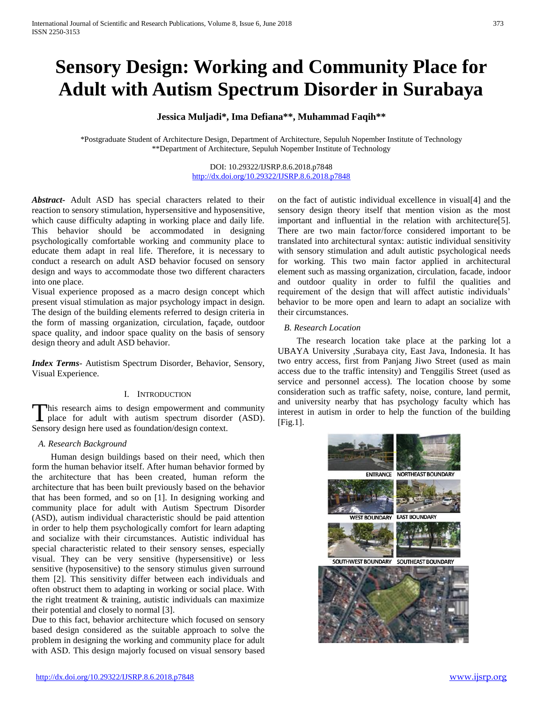# **Sensory Design: Working and Community Place for Adult with Autism Spectrum Disorder in Surabaya**

## **Jessica Muljadi\*, Ima Defiana\*\*, Muhammad Faqih\*\***

\*Postgraduate Student of Architecture Design, Department of Architecture, Sepuluh Nopember Institute of Technology \*\*Department of Architecture, Sepuluh Nopember Institute of Technology

> DOI: 10.29322/IJSRP.8.6.2018.p7848 <http://dx.doi.org/10.29322/IJSRP.8.6.2018.p7848>

*Abstract***-** Adult ASD has special characters related to their reaction to sensory stimulation, hypersensitive and hyposensitive, which cause difficulty adapting in working place and daily life. This behavior should be accommodated in designing psychologically comfortable working and community place to educate them adapt in real life. Therefore, it is necessary to conduct a research on adult ASD behavior focused on sensory design and ways to accommodate those two different characters into one place.

Visual experience proposed as a macro design concept which present visual stimulation as major psychology impact in design. The design of the building elements referred to design criteria in the form of massing organization, circulation, façade, outdoor space quality, and indoor space quality on the basis of sensory design theory and adult ASD behavior.

*Index Terms*- Autistism Spectrum Disorder, Behavior, Sensory, Visual Experience.

#### I. INTRODUCTION

his research aims to design empowerment and community Sensory design here used as foundation/design context.

#### *A. Research Background*

Human design buildings based on their need, which then form the human behavior itself. After human behavior formed by the architecture that has been created, human reform the architecture that has been built previously based on the behavior that has been formed, and so on [1]. In designing working and community place for adult with Autism Spectrum Disorder (ASD), autism individual characteristic should be paid attention in order to help them psychologically comfort for learn adapting and socialize with their circumstances. Autistic individual has special characteristic related to their sensory senses, especially visual. They can be very sensitive (hypersensitive) or less sensitive (hyposensitive) to the sensory stimulus given surround them [2]. This sensitivity differ between each individuals and often obstruct them to adapting in working or social place. With the right treatment & training, autistic individuals can maximize their potential and closely to normal [3].

Due to this fact, behavior architecture which focused on sensory based design considered as the suitable approach to solve the problem in designing the working and community place for adult with ASD. This design majorly focused on visual sensory based on the fact of autistic individual excellence in visual[4] and the sensory design theory itself that mention vision as the most important and influential in the relation with architecture[5]. There are two main factor/force considered important to be translated into architectural syntax: autistic individual sensitivity with sensory stimulation and adult autistic psychological needs for working. This two main factor applied in architectural element such as massing organization, circulation, facade, indoor and outdoor quality in order to fulfil the qualities and requirement of the design that will affect autistic individuals' behavior to be more open and learn to adapt an socialize with their circumstances.

#### *B. Research Location*

This research aims to design empowerment and community and university nearby that has psychology faculty which has interest in autism in order to help the function of the building place for adult with autism spectrum disor The research location take place at the parking lot a UBAYA University ,Surabaya city, East Java, Indonesia. It has two entry access, first from Panjang Jiwo Street (used as main access due to the traffic intensity) and Tenggilis Street (used as service and personnel access). The location choose by some consideration such as traffic safety, noise, conture, land permit, and university nearby that has psychology faculty which has

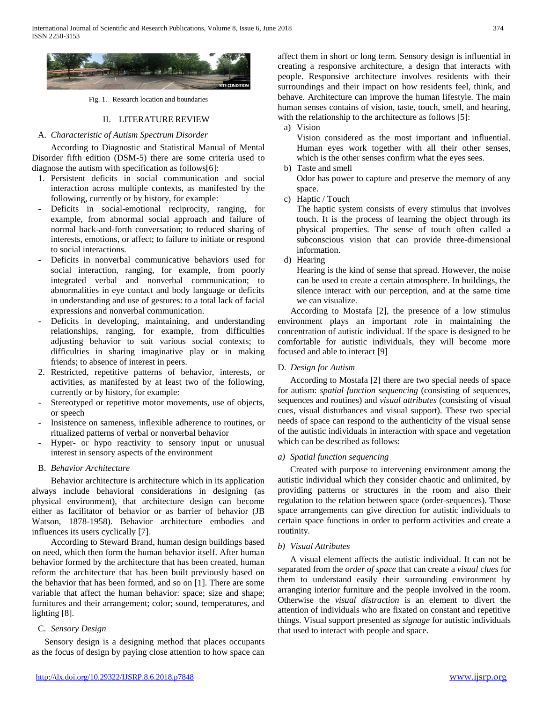

Fig. 1. Research location and boundaries

## II. LITERATURE REVIEW

## A. *Characteristic of Autism Spectrum Disorder*

According to Diagnostic and Statistical Manual of Mental Disorder fifth edition (DSM-5) there are some criteria used to diagnose the autism with specification as follows[6]:

- 1. Persistent deficits in social communication and social interaction across multiple contexts, as manifested by the following, currently or by history, for example:
- Deficits in social-emotional reciprocity, ranging, for example, from abnormal social approach and failure of normal back-and-forth conversation; to reduced sharing of interests, emotions, or affect; to failure to initiate or respond to social interactions.
- Deficits in nonverbal communicative behaviors used for social interaction, ranging, for example, from poorly integrated verbal and nonverbal communication; to abnormalities in eye contact and body language or deficits in understanding and use of gestures: to a total lack of facial expressions and nonverbal communication.
- Deficits in developing, maintaining, and understanding relationships, ranging, for example, from difficulties adjusting behavior to suit various social contexts; to difficulties in sharing imaginative play or in making friends; to absence of interest in peers.
- 2. Restricted, repetitive patterns of behavior, interests, or activities, as manifested by at least two of the following, currently or by history, for example:
- Stereotyped or repetitive motor movements, use of objects, or speech
- Insistence on sameness, inflexible adherence to routines, or ritualized patterns of verbal or nonverbal behavior
- Hyper- or hypo reactivity to sensory input or unusual interest in sensory aspects of the environment

## B. *Behavior Architecture*

Behavior architecture is architecture which in its application always include behavioral considerations in designing (as physical environment), that architecture design can become either as facilitator of behavior or as barrier of behavior (JB Watson, 1878-1958). Behavior architecture embodies and influences its users cyclically [7].

According to Steward Brand, human design buildings based on need, which then form the human behavior itself. After human behavior formed by the architecture that has been created, human reform the architecture that has been built previously based on the behavior that has been formed, and so on [1]. There are some variable that affect the human behavior: space; size and shape; furnitures and their arrangement; color; sound, temperatures, and lighting [8].

## C. *Sensory Design*

Sensory design is a designing method that places occupants as the focus of design by paying close attention to how space can

affect them in short or long term. Sensory design is influential in creating a responsive architecture, a design that interacts with people. Responsive architecture involves residents with their surroundings and their impact on how residents feel, think, and behave. Architecture can improve the human lifestyle. The main human senses contains of vision, taste, touch, smell, and hearing, with the relationship to the architecture as follows [5]:

a) Vision

Vision considered as the most important and influential. Human eyes work together with all their other senses, which is the other senses confirm what the eyes sees.

b) Taste and smell

Odor has power to capture and preserve the memory of any space.

c) Haptic / Touch

The haptic system consists of every stimulus that involves touch. It is the process of learning the object through its physical properties. The sense of touch often called a subconscious vision that can provide three-dimensional information.

d) Hearing

Hearing is the kind of sense that spread. However, the noise can be used to create a certain atmosphere. In buildings, the silence interact with our perception, and at the same time we can visualize.

According to Mostafa [2], the presence of a low stimulus environment plays an important role in maintaining the concentration of autistic individual. If the space is designed to be comfortable for autistic individuals, they will become more focused and able to interact [9]

## D. *Design for Autism*

According to Mostafa [2] there are two special needs of space for autism: *spatial function sequencing* (consisting of sequences, sequences and routines) and *visual attributes* (consisting of visual cues, visual disturbances and visual support). These two special needs of space can respond to the authenticity of the visual sense of the autistic individuals in interaction with space and vegetation which can be described as follows:

## *a) Spatial function sequencing*

Created with purpose to intervening environment among the autistic individual which they consider chaotic and unlimited, by providing patterns or structures in the room and also their regulation to the relation between space (order-sequences). Those space arrangements can give direction for autistic individuals to certain space functions in order to perform activities and create a routinity.

## *b) Visual Attributes*

A visual element affects the autistic individual. It can not be separated from the *order of space* that can create a *visual clues* for them to understand easily their surrounding environment by arranging interior furniture and the people involved in the room. Otherwise the *visual distraction* is an element to divert the attention of individuals who are fixated on constant and repetitive things. Visual support presented as *signage* for autistic individuals that used to interact with people and space.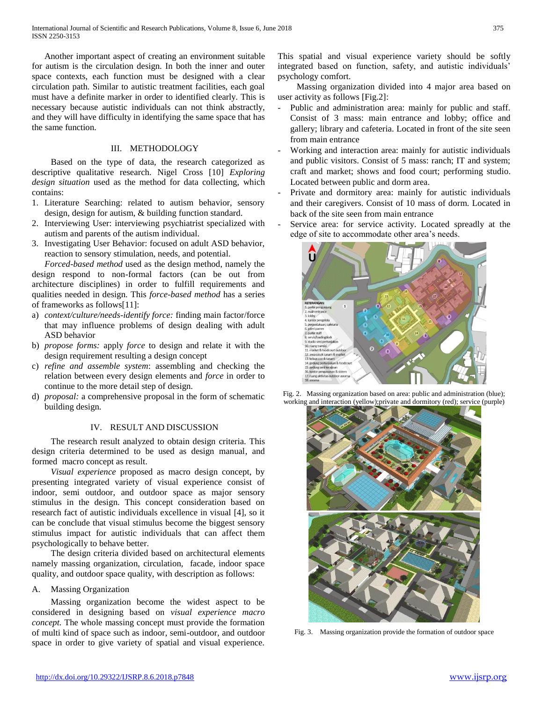Another important aspect of creating an environment suitable for autism is the circulation design. In both the inner and outer space contexts, each function must be designed with a clear circulation path. Similar to autistic treatment facilities, each goal must have a definite marker in order to identified clearly. This is necessary because autistic individuals can not think abstractly, and they will have difficulty in identifying the same space that has the same function.

## III. METHODOLOGY

Based on the type of data, the research categorized as descriptive qualitative research. Nigel Cross [10] *Exploring design situation* used as the method for data collecting, which contains:

- 1. Literature Searching: related to autism behavior, sensory design, design for autism, & building function standard.
- 2. Interviewing User: interviewing psychiatrist specialized with autism and parents of the autism individual.
- 3. Investigating User Behavior: focused on adult ASD behavior, reaction to sensory stimulation, needs, and potential.

*Forced-based method* used as the design method, namely the design respond to non-formal factors (can be out from architecture disciplines) in order to fulfill requirements and qualities needed in design. This *force-based method* has a series of frameworks as follows[11]:

- a) *context/culture/needs-identify force:* finding main factor/force that may influence problems of design dealing with adult ASD behavior
- b) *propose forms:* apply *force* to design and relate it with the design requirement resulting a design concept
- c) *refine and assemble system*: assembling and checking the relation between every design elements and *force* in order to continue to the more detail step of design.
- d) *proposal:* a comprehensive proposal in the form of schematic building design.

## IV. RESULT AND DISCUSSION

The research result analyzed to obtain design criteria. This design criteria determined to be used as design manual, and formed macro concept as result.

*Visual experience* proposed as macro design concept, by presenting integrated variety of visual experience consist of indoor, semi outdoor, and outdoor space as major sensory stimulus in the design. This concept consideration based on research fact of autistic individuals excellence in visual [4], so it can be conclude that visual stimulus become the biggest sensory stimulus impact for autistic individuals that can affect them psychologically to behave better.

The design criteria divided based on architectural elements namely massing organization, circulation, facade, indoor space quality, and outdoor space quality, with description as follows:

## A. Massing Organization

Massing organization become the widest aspect to be considered in designing based on *visual experience macro concept.* The whole massing concept must provide the formation of multi kind of space such as indoor, semi-outdoor, and outdoor space in order to give variety of spatial and visual experience. This spatial and visual experience variety should be softly integrated based on function, safety, and autistic individuals' psychology comfort.

Massing organization divided into 4 major area based on user activity as follows [Fig.2]:

- Public and administration area: mainly for public and staff. Consist of 3 mass: main entrance and lobby; office and gallery; library and cafeteria. Located in front of the site seen from main entrance
- Working and interaction area: mainly for autistic individuals and public visitors. Consist of 5 mass: ranch; IT and system; craft and market; shows and food court; performing studio. Located between public and dorm area.
- Private and dormitory area: mainly for autistic individuals and their caregivers. Consist of 10 mass of dorm. Located in back of the site seen from main entrance
- Service area: for service activity. Located spreadly at the edge of site to accommodate other area's needs.



Fig. 2. Massing organization based on area: public and administration (blue); working and interaction (yellow);private and dormitory (red); service (purple)



Fig. 3. Massing organization provide the formation of outdoor space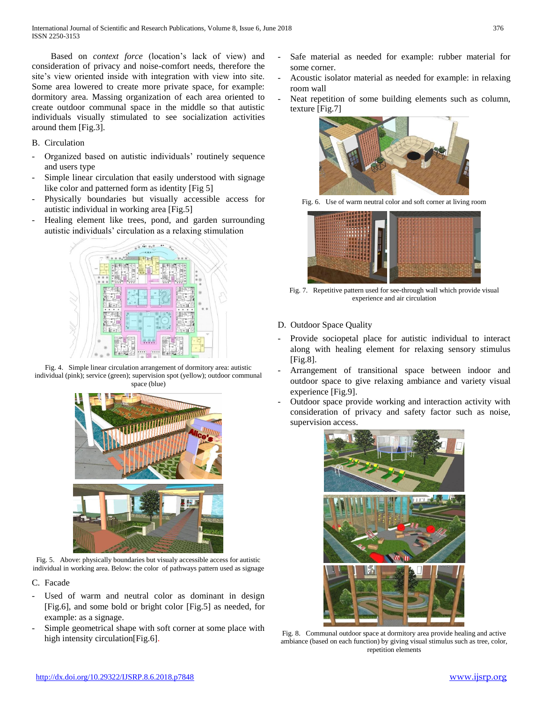Based on *context force* (location's lack of view) and consideration of privacy and noise-comfort needs, therefore the site's view oriented inside with integration with view into site. Some area lowered to create more private space, for example: dormitory area. Massing organization of each area oriented to create outdoor communal space in the middle so that autistic individuals visually stimulated to see socialization activities around them [Fig.3].

## B. Circulation

- Organized based on autistic individuals' routinely sequence and users type
- Simple linear circulation that easily understood with signage like color and patterned form as identity [Fig 5]
- Physically boundaries but visually accessible access for autistic individual in working area [Fig.5]
- Healing element like trees, pond, and garden surrounding autistic individuals' circulation as a relaxing stimulation



Fig. 4. Simple linear circulation arrangement of dormitory area: autistic individual (pink); service (green); supervision spot (yellow); outdoor communal space (blue)



Fig. 5. Above: physically boundaries but visualy accessible access for autistic individual in working area. Below: the color of pathways pattern used as signage

- C. Facade
- Used of warm and neutral color as dominant in design [Fig.6], and some bold or bright color [Fig.5] as needed, for example: as a signage.
- Simple geometrical shape with soft corner at some place with high intensity circulation[Fig.6].
- Safe material as needed for example: rubber material for some corner.
- Acoustic isolator material as needed for example: in relaxing room wall
- Neat repetition of some building elements such as column, texture [Fig.7]



Fig. 6. Use of warm neutral color and soft corner at living room



Fig. 7. Repetitive pattern used for see-through wall which provide visual experience and air circulation

- D. Outdoor Space Quality
- Provide sociopetal place for autistic individual to interact along with healing element for relaxing sensory stimulus [Fig.8].
- Arrangement of transitional space between indoor and outdoor space to give relaxing ambiance and variety visual experience [Fig.9].
- Outdoor space provide working and interaction activity with consideration of privacy and safety factor such as noise, supervision access.



Fig. 8. Communal outdoor space at dormitory area provide healing and active ambiance (based on each function) by giving visual stimulus such as tree, color, repetition elements